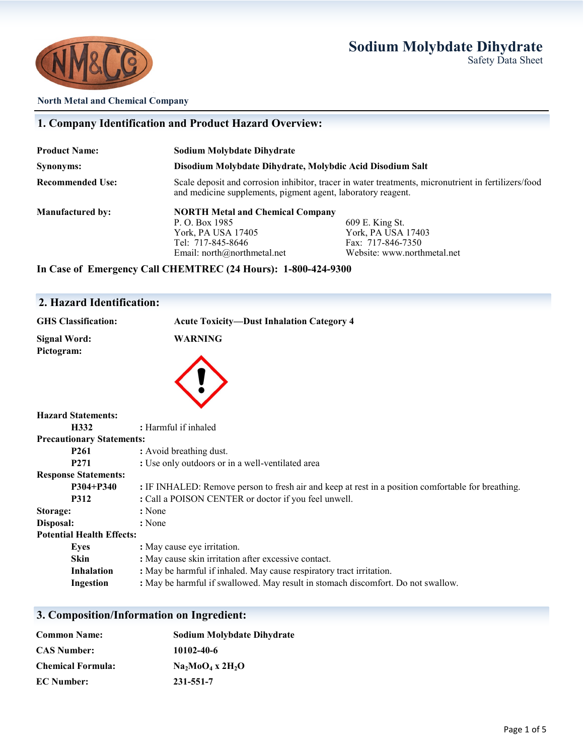## **Sodium Molybdate Dihydrate**





### **North Metal and Chemical Company**

| 1. Company Identification and Product Hazard Overview: |                                                                                                                                                                      |                             |
|--------------------------------------------------------|----------------------------------------------------------------------------------------------------------------------------------------------------------------------|-----------------------------|
| <b>Product Name:</b>                                   | Sodium Molybdate Dihydrate                                                                                                                                           |                             |
| Synonyms:                                              | Disodium Molybdate Dihydrate, Molybdic Acid Disodium Salt                                                                                                            |                             |
| <b>Recommended Use:</b>                                | Scale deposit and corrosion inhibitor, tracer in water treatments, micronutrient in fertilizers/food<br>and medicine supplements, pigment agent, laboratory reagent. |                             |
| <b>Manufactured by:</b>                                | <b>NORTH Metal and Chemical Company</b>                                                                                                                              |                             |
|                                                        | P. O. Box 1985                                                                                                                                                       | 609 E. King St.             |
|                                                        | York, PA USA 17405                                                                                                                                                   | York, PA USA 17403          |
|                                                        | Tel: 717-845-8646                                                                                                                                                    | Fax: 717-846-7350           |
|                                                        | Email: $north@northmetal.net$                                                                                                                                        | Website: www.northmetal.net |

**In Case of Emergency Call CHEMTREC (24 Hours): 1-800-424-9300**

## **2. Hazard Identification:**

| <b>GHS</b> Classification:        | <b>Acute Toxicity-Dust Inhalation Category 4</b>                                                   |  |
|-----------------------------------|----------------------------------------------------------------------------------------------------|--|
| <b>Signal Word:</b><br>Pictogram: | <b>WARNING</b>                                                                                     |  |
| <b>Hazard Statements:</b>         |                                                                                                    |  |
| H332                              | : Harmful if inhaled                                                                               |  |
| <b>Precautionary Statements:</b>  |                                                                                                    |  |
| P <sub>261</sub>                  | : Avoid breathing dust.                                                                            |  |
| P <sub>271</sub>                  | : Use only outdoors or in a well-ventilated area                                                   |  |
| <b>Response Statements:</b>       |                                                                                                    |  |
| $P304 + P340$                     | : IF INHALED: Remove person to fresh air and keep at rest in a position comfortable for breathing. |  |
| <b>P312</b>                       | : Call a POISON CENTER or doctor if you feel unwell.                                               |  |
| Storage:                          | : None                                                                                             |  |
| Disposal:                         | : None                                                                                             |  |
| <b>Potential Health Effects:</b>  |                                                                                                    |  |
| <b>Eyes</b>                       | : May cause eye irritation.                                                                        |  |
| <b>Skin</b>                       | : May cause skin irritation after excessive contact.                                               |  |
| <b>Inhalation</b>                 | : May be harmful if inhaled. May cause respiratory tract irritation.                               |  |
| Ingestion                         | : May be harmful if swallowed. May result in stomach discomfort. Do not swallow.                   |  |

## **3. Composition/Information on Ingredient:**

| <b>Common Name:</b>      | <b>Sodium Molybdate Dihydrate</b> |  |
|--------------------------|-----------------------------------|--|
| <b>CAS Number:</b>       | 10102-40-6                        |  |
| <b>Chemical Formula:</b> | $Na_2MoO_4$ x 2H <sub>2</sub> O   |  |
| <b>EC</b> Number:        | 231-551-7                         |  |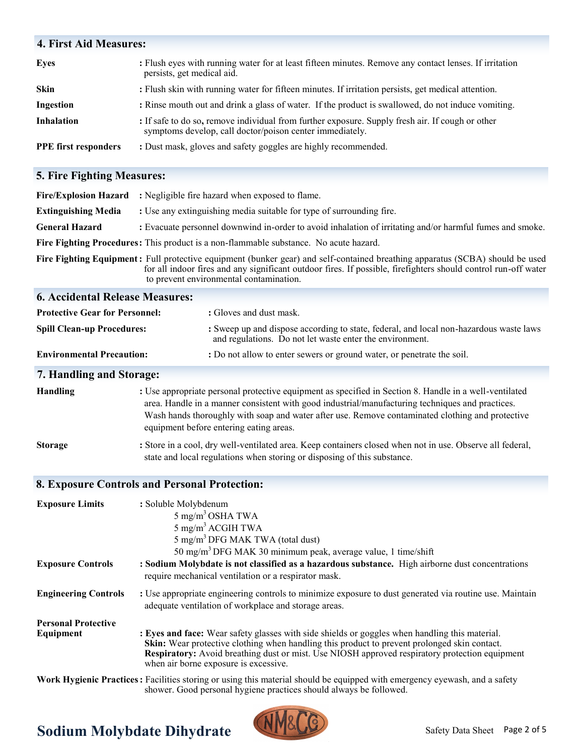# **4. First Aid Measures: Eyes :** Flush eyes with running water for at least fifteen minutes. Remove any contact lenses. If irritation persists, get medical aid. **Skin :** Flush skin with running water for fifteen minutes. If irritation persists, get medical attention. **Ingestion** : Rinse mouth out and drink a glass of water. If the product is swallowed, do not induce vomiting. **Inhalation** : If safe to do so, remove individual from further exposure. Supply fresh air. If cough or other symptoms develop, call doctor/poison center immediately. **PPE first responders** : Dust mask, gloves and safety goggles are highly recommended.

## **5. Fire Fighting Measures:**

| <b>Fire/Explosion Hazard</b>            | : Negligible fire hazard when exposed to flame.                                                                                                                                                                                                                                                                                                           |  |
|-----------------------------------------|-----------------------------------------------------------------------------------------------------------------------------------------------------------------------------------------------------------------------------------------------------------------------------------------------------------------------------------------------------------|--|
| <b>Extinguishing Media</b>              | : Use any extinguishing media suitable for type of surrounding fire.                                                                                                                                                                                                                                                                                      |  |
| <b>General Hazard</b>                   | : Evacuate personnel downwind in-order to avoid inhalation of irritating and/or harmful fumes and smoke.                                                                                                                                                                                                                                                  |  |
|                                         | Fire Fighting Procedures: This product is a non-flammable substance. No acute hazard.                                                                                                                                                                                                                                                                     |  |
|                                         | Fire Fighting Equipment: Full protective equipment (bunker gear) and self-contained breathing apparatus (SCBA) should be used<br>for all indoor fires and any significant outdoor fires. If possible, firefighters should control run-off water<br>to prevent environmental contamination.                                                                |  |
| <b>6. Accidental Release Measures:</b>  |                                                                                                                                                                                                                                                                                                                                                           |  |
| <b>Protective Gear for Personnel:</b>   | : Gloves and dust mask.                                                                                                                                                                                                                                                                                                                                   |  |
| <b>Spill Clean-up Procedures:</b>       | : Sweep up and dispose according to state, federal, and local non-hazardous waste laws<br>and regulations. Do not let waste enter the environment.                                                                                                                                                                                                        |  |
| <b>Environmental Precaution:</b>        | : Do not allow to enter sewers or ground water, or penetrate the soil.                                                                                                                                                                                                                                                                                    |  |
| 7. Handling and Storage:                |                                                                                                                                                                                                                                                                                                                                                           |  |
| <b>Handling</b>                         | : Use appropriate personal protective equipment as specified in Section 8. Handle in a well-ventilated<br>area. Handle in a manner consistent with good industrial/manufacturing techniques and practices.<br>Wash hands thoroughly with soap and water after use. Remove contaminated clothing and protective<br>equipment before entering eating areas. |  |
| <b>Storage</b>                          | : Store in a cool, dry well-ventilated area. Keep containers closed when not in use. Observe all federal,<br>state and local regulations when storing or disposing of this substance.                                                                                                                                                                     |  |
|                                         | <b>8. Exposure Controls and Personal Protection:</b>                                                                                                                                                                                                                                                                                                      |  |
| <b>Exposure Limits</b>                  | : Soluble Molybdenum<br>$5 \text{ mg/m}^3$ OSHA TWA<br>5 mg/m <sup>3</sup> ACGIH TWA<br>5 mg/m <sup>3</sup> DFG MAK TWA (total dust)<br>50 mg/m <sup>3</sup> DFG MAK 30 minimum peak, average value, 1 time/shift                                                                                                                                         |  |
| <b>Exposure Controls</b>                | : Sodium Molybdate is not classified as a hazardous substance. High airborne dust concentrations<br>require mechanical ventilation or a respirator mask.                                                                                                                                                                                                  |  |
| <b>Engineering Controls</b>             | : Use appropriate engineering controls to minimize exposure to dust generated via routine use. Maintain<br>adequate ventilation of workplace and storage areas.                                                                                                                                                                                           |  |
| <b>Personal Protective</b><br>Equipment | : Eyes and face: Wear safety glasses with side shields or goggles when handling this material.<br>Skin: Wear protective clothing when handling this product to prevent prolonged skin contact.<br><b>Respiratory:</b> Avoid breathing dust or mist. Use NIOSH approved respiratory protection equipment<br>when air borne exposure is excessive.          |  |

**Work Hygienic Practices:** Facilities storing or using this material should be equipped with emergency eyewash, and a safety shower. Good personal hygiene practices should always be followed.

# **Sodium Molybdate Dihydrate**

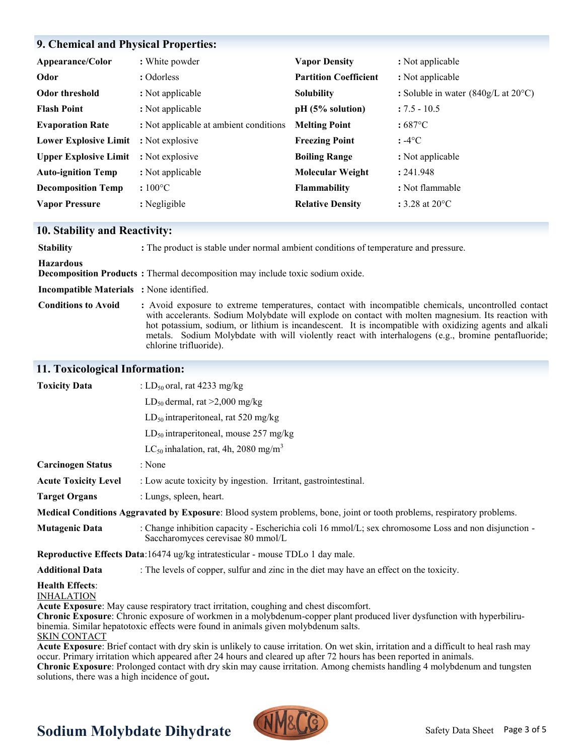## **9. Chemical and Physical Properties:**

| Appearance/Color                             | : White powder                         | <b>Vapor Density</b>         | : Not applicable                                             |
|----------------------------------------------|----------------------------------------|------------------------------|--------------------------------------------------------------|
| Odor                                         | : Odorless                             | <b>Partition Coefficient</b> | : Not applicable                                             |
| Odor threshold                               | : Not applicable                       | <b>Solubility</b>            | : Soluble in water $(840g/L \text{ at } 20^{\circ}\text{C})$ |
| <b>Flash Point</b>                           | : Not applicable                       | pH (5% solution)             | $: 7.5 - 10.5$                                               |
| <b>Evaporation Rate</b>                      | : Not applicable at ambient conditions | <b>Melting Point</b>         | $:687^{\circ}$ C                                             |
| <b>Lower Explosive Limit : Not explosive</b> |                                        | <b>Freezing Point</b>        | $: -4$ °C                                                    |
| <b>Upper Explosive Limit</b>                 | : Not explosive                        | <b>Boiling Range</b>         | : Not applicable                                             |
| <b>Auto-ignition Temp</b>                    | : Not applicable                       | <b>Molecular Weight</b>      | : 241.948                                                    |
| <b>Decomposition Temp</b>                    | $:100^{\circ}$ C                       | <b>Flammability</b>          | : Not flammable                                              |
| <b>Vapor Pressure</b>                        | : Negligible                           | <b>Relative Density</b>      | : 3.28 at $20^{\circ}$ C                                     |

## **10. Stability and Reactivity:**

| <b>Stability</b>                                 | : The product is stable under normal ambient conditions of temperature and pressure.                                                                                                                                                                                                                                                                                                                                                                  |
|--------------------------------------------------|-------------------------------------------------------------------------------------------------------------------------------------------------------------------------------------------------------------------------------------------------------------------------------------------------------------------------------------------------------------------------------------------------------------------------------------------------------|
| <b>Hazardous</b>                                 | Decomposition Products: Thermal decomposition may include toxic sodium oxide.                                                                                                                                                                                                                                                                                                                                                                         |
| <b>Incompatible Materials</b> : None identified. |                                                                                                                                                                                                                                                                                                                                                                                                                                                       |
| <b>Conditions to Avoid</b>                       | : Avoid exposure to extreme temperatures, contact with incompatible chemicals, uncontrolled contact<br>with accelerants. Sodium Molybdate will explode on contact with molten magnesium. Its reaction with<br>hot potassium, sodium, or lithium is incandescent. It is incompatible with oxidizing agents and alkali<br>metals. Sodium Molybdate with will violently react with interhalogens (e.g., bromine pentafluoride;<br>chlorine trifluoride). |

## **11. Toxicological Information:**

| <b>Toxicity Data</b>                        | : LD <sub>50</sub> oral, rat 4233 mg/kg                                                                                                                                                                                                                                                                        |
|---------------------------------------------|----------------------------------------------------------------------------------------------------------------------------------------------------------------------------------------------------------------------------------------------------------------------------------------------------------------|
|                                             | $LD_{50}$ dermal, rat >2,000 mg/kg                                                                                                                                                                                                                                                                             |
|                                             | $LD_{50}$ intraperitoneal, rat 520 mg/kg                                                                                                                                                                                                                                                                       |
|                                             | $LD_{50}$ intraperitoneal, mouse 257 mg/kg                                                                                                                                                                                                                                                                     |
|                                             | LC <sub>50</sub> inhalation, rat, 4h, 2080 mg/m <sup>3</sup>                                                                                                                                                                                                                                                   |
| <b>Carcinogen Status</b>                    | : None                                                                                                                                                                                                                                                                                                         |
| <b>Acute Toxicity Level</b>                 | : Low acute toxicity by ingestion. Irritant, gastrointestinal.                                                                                                                                                                                                                                                 |
| <b>Target Organs</b>                        | : Lungs, spleen, heart.                                                                                                                                                                                                                                                                                        |
|                                             | Medical Conditions Aggravated by Exposure: Blood system problems, bone, joint or tooth problems, respiratory problems.                                                                                                                                                                                         |
| <b>Mutagenic Data</b>                       | : Change inhibition capacity - Escherichia coli 16 mmol/L; sex chromosome Loss and non disjunction -<br>Saccharomyces cerevisae 80 mmol/L                                                                                                                                                                      |
|                                             | Reproductive Effects Data:16474 ug/kg intratesticular - mouse TDLo 1 day male.                                                                                                                                                                                                                                 |
| <b>Additional Data</b>                      | : The levels of copper, sulfur and zinc in the diet may have an effect on the toxicity.                                                                                                                                                                                                                        |
| <b>Health Effects:</b><br><b>INHALATION</b> |                                                                                                                                                                                                                                                                                                                |
|                                             | <b>Acute Exposure:</b> May cause respiratory tract irritation, coughing and chest discomfort.<br>Chronic Exposure: Chronic exposure of workmen in a molybdenum-copper plant produced liver dysfunction with hyperbiliru-<br>binemia. Similar hepatotoxic effects were found in animals given molybdenum salts. |

SKIN CONTACT

**Acute Exposure**: Brief contact with dry skin is unlikely to cause irritation. On wet skin, irritation and a difficult to heal rash may occur. Primary irritation which appeared after 24 hours and cleared up after 72 hours has been reported in animals.

**Chronic Exposure**: Prolonged contact with dry skin may cause irritation. Among chemists handling 4 molybdenum and tungsten solutions, there was a high incidence of gout**.**

# **Sodium Molybdate Dihydrate**

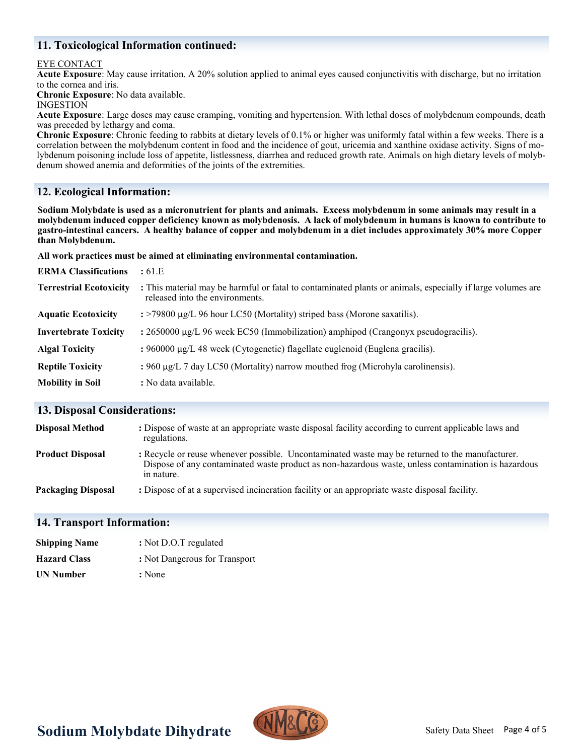## **11. Toxicological Information continued:**

#### EYE CONTACT

**Acute Exposure**: May cause irritation. A 20% solution applied to animal eyes caused conjunctivitis with discharge, but no irritation to the cornea and iris.

**Chronic Exposure**: No data available.

#### INGESTION

**Acute Exposure**: Large doses may cause cramping, vomiting and hypertension. With lethal doses of molybdenum compounds, death was preceded by lethargy and coma.

**Chronic Exposure**: Chronic feeding to rabbits at dietary levels of 0.1% or higher was uniformly fatal within a few weeks. There is a correlation between the molybdenum content in food and the incidence of gout, uricemia and xanthine oxidase activity. Signs of molybdenum poisoning include loss of appetite, listlessness, diarrhea and reduced growth rate. Animals on high dietary levels of molybdenum showed anemia and deformities of the joints of the extremities.

## **12. Ecological Information:**

**Sodium Molybdate is used as a micronutrient for plants and animals. Excess molybdenum in some animals may result in a molybdenum induced copper deficiency known as molybdenosis. A lack of molybdenum in humans is known to contribute to gastro-intestinal cancers. A healthy balance of copper and molybdenum in a diet includes approximately 30% more Copper than Molybdenum.** 

**All work practices must be aimed at eliminating environmental contamination.** 

| <b>ERMA Classifications</b>    | : 61.E                                                                                                                                        |
|--------------------------------|-----------------------------------------------------------------------------------------------------------------------------------------------|
| <b>Terrestrial Ecotoxicity</b> | : This material may be harmful or fatal to contaminated plants or animals, especially if large volumes are<br>released into the environments. |
| <b>Aquatic Ecotoxicity</b>     | $\div$ = >79800 µg/L 96 hour LC50 (Mortality) striped bass (Morone saxatilis).                                                                |
| <b>Invertebrate Toxicity</b>   | : $2650000 \mu g/L$ 96 week EC50 (Immobilization) amphipod (Crangonyx pseudogracilis).                                                        |
| <b>Algal Toxicity</b>          | : $960000 \mu g/L$ 48 week (Cytogenetic) flagellate euglenoid (Euglena gracilis).                                                             |
| <b>Reptile Toxicity</b>        | : $960 \mu g/L$ 7 day LC50 (Mortality) narrow mouthed frog (Microhyla carolinensis).                                                          |
| <b>Mobility in Soil</b>        | : No data available.                                                                                                                          |

#### **13. Disposal Considerations:**

| <b>Disposal Method</b>    | : Dispose of waste at an appropriate waste disposal facility according to current applicable laws and<br>regulations.                                                                                                |
|---------------------------|----------------------------------------------------------------------------------------------------------------------------------------------------------------------------------------------------------------------|
| <b>Product Disposal</b>   | : Recycle or reuse whenever possible. Uncontaminated waste may be returned to the manufacturer.<br>Dispose of any contaminated waste product as non-hazardous waste, unless contamination is hazardous<br>in nature. |
| <b>Packaging Disposal</b> | : Dispose of at a supervised incineration facility or an appropriate waste disposal facility.                                                                                                                        |

#### **14. Transport Information:**

| <b>Shipping Name</b> | : Not D.O.T regulated         |
|----------------------|-------------------------------|
| <b>Hazard Class</b>  | : Not Dangerous for Transport |
| <b>UN Number</b>     | : None                        |